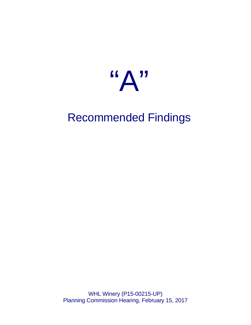

# Recommended Findings

WHL Winery (P15-00215-UP) Planning Commission Hearing, February 15, 2017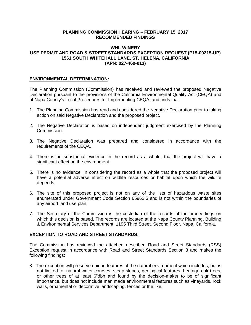### **PLANNING COMMISSION HEARING – FEBRUARY 15, 2017 RECOMMENDED FINDINGS**

## **WHL WINERY USE PERMIT AND ROAD & STREET STANDARDS EXCEPTION REQUEST (P15-00215-UP) 1561 SOUTH WHITEHALL LANE, ST. HELENA, CALIFORNIA (APN: 027-460-013)**

## **ENVIRONMENTAL DETERMINATION:**

The Planning Commission (Commission) has received and reviewed the proposed Negative Declaration pursuant to the provisions of the California Environmental Quality Act (CEQA) and of Napa County's Local Procedures for Implementing CEQA, and finds that:

- 1. The Planning Commission has read and considered the Negative Declaration prior to taking action on said Negative Declaration and the proposed project.
- 2. The Negative Declaration is based on independent judgment exercised by the Planning Commission.
- 3. The Negative Declaration was prepared and considered in accordance with the requirements of the CEQA.
- 4. There is no substantial evidence in the record as a whole, that the project will have a significant effect on the environment.
- 5. There is no evidence, in considering the record as a whole that the proposed project will have a potential adverse effect on wildlife resources or habitat upon which the wildlife depends.
- 6. The site of this proposed project is not on any of the lists of hazardous waste sites enumerated under Government Code Section 65962.5 and is not within the boundaries of any airport land use plan.
- 7. The Secretary of the Commission is the custodian of the records of the proceedings on which this decision is based. The records are located at the Napa County Planning, Building & Environmental Services Department, 1195 Third Street, Second Floor, Napa, California.

#### **EXCEPTION TO ROAD AND STREET STANDARDS:**

The Commission has reviewed the attached described Road and Street Standards (RSS) Exception request in accordance with Road and Street Standards Section 3 and makes the following findings:

8. The exception will preserve unique features of the natural environment which includes, but is not limited to, natural water courses, steep slopes, geological features, heritage oak trees, or other trees of at least 6"dbh and found by the decision-maker to be of significant importance, but does not include man made environmental features such as vineyards, rock walls, ornamental or decorative landscaping, fences or the like.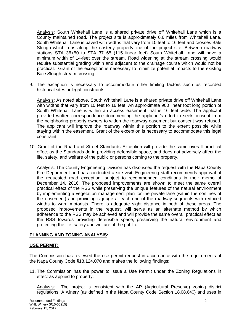Analysis: South Whitehall Lane is a shared private drive off Whitehall Lane which is a County maintained road. The project site is approximately 0.6 miles from Whitehall Lane. South Whitehall Lane is paved with widths that vary from 10 feet to 16 feet and crosses Bale Slough which runs along the easterly property line of the project site. Between roadway stations STA 36+50 to STA 37+65 (115 linear feet) South Whitehall Lane will have a minimum width of 14-feet over the stream. Road widening at the stream crossing would require substantial grading within and adjacent to the drainage course which would not be practical. Grant of the exception is necessary to minimize potential impacts to the existing Bale Slough stream crossing.

9. The exception is necessary to accommodate other limiting factors such as recorded historical sites or legal constraints.

Analysis: As noted above, South Whitehall Lane is a shared private drive off Whitehall Lane with widths that vary from 10 feet to 16 feet. An approximate 900 linear foot long portion of South Whitehall Lane is within an access easement that is 16 feet wide. The applicant provided written correspondence documenting the applicant's effort to seek consent from the neighboring property owners to widen the roadway easement but consent was refused. The applicant will improve the roadway within this portion to the extent possible while staying within the easement. Grant of the exception is necessary to accommodate this legal constraint.

10. Grant of the Road and Street Standards Exception will provide the same overall practical effect as the Standards do in providing defensible space, and does not adversely affect the life, safety, and welfare of the public or persons coming to the property.

Analysis: The County Engineering Division has discussed the request with the Napa County Fire Department and has conducted a site visit. Engineering staff recommends approval of the requested road exception, subject to recommended conditions in their memo of December 14, 2016. The proposed improvements are shown to meet the same overall practical effect of the RSS while preserving the unique features of the natural environment by implementing a vegetation management plan for the private lane (within the confines of the easement) and providing signage at each end of the roadway segments with reduced widths to warn motorists. There is adequate sight distance in both of these areas. The proposed improvements in the request, will serve as an alternate method by which adherence to the RSS may be achieved and will provide the same overall practical effect as the RSS towards providing defensible space, preserving the natural environment and protecting the life, safety and welfare of the public.

#### **PLANNING AND ZONING ANALYSIS:**

#### **USE PERMIT:**

The Commission has reviewed the use permit request in accordance with the requirements of the Napa County Code §18.124.070 and makes the following findings:

11. The Commission has the power to issue a Use Permit under the Zoning Regulations in effect as applied to property.

Analysis: The project is consistent with the AP (Agricultural Preserve) zoning district regulations. A winery (as defined in the Napa County Code Section 18.08.640) and uses in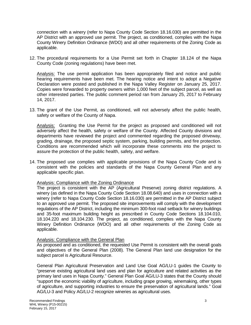connection with a winery (refer to Napa County Code Section 18.16.030) are permitted in the AP District with an approved use permit. The project, as conditioned, complies with the Napa County Winery Definition Ordinance (WDO) and all other requirements of the Zoning Code as applicable.

12. The procedural requirements for a Use Permit set forth in Chapter 18.124 of the Napa County Code (zoning regulations) have been met.

Analysis: The use permit application has been appropriately filed and notice and public hearing requirements have been met. The hearing notice and intent to adopt a Negative Declaration were posted and published in the Napa Valley Register on January 25, 2017. Copies were forwarded to property owners within 1,000 feet of the subject parcel, as well as other interested parties. The public comment period ran from January 25, 2017 to February 14, 2017.

13. The grant of the Use Permit, as conditioned, will not adversely affect the public health, safety or welfare of the County of Napa.

Analysis: Granting the Use Permit for the project as proposed and conditioned will not adversely affect the health, safety or welfare of the County. Affected County divisions and departments have reviewed the project and commented regarding the proposed driveway, grading, drainage, the proposed septic system, parking, building permits, and fire protection. Conditions are recommended which will incorporate these comments into the project to assure the protection of the public health, safety, and welfare.

14. The proposed use complies with applicable provisions of the Napa County Code and is consistent with the policies and standards of the Napa County General Plan and any applicable specific plan.

Analysis: Compliance with the Zoning Ordinance

The project is consistent with the AP (Agricultural Preserve) zoning district regulations. A winery (as defined in the Napa County Code Section 18.08.640) and uses in connection with a winery (refer to Napa County Code Section 18.16.030) are permitted in the AP District subject to an approved use permit. The proposed site improvements will comply with the development regulations of the AP District, including the minimum 300-foot road setback for winery buildings and 35-foot maximum building height as prescribed in County Code Sections 18.104.010, 18.104.220 and 18.104.230. The project, as conditioned, complies with the Napa County Winery Definition Ordinance (WDO) and all other requirements of the Zoning Code as applicable.

## Analysis: Compliance with the General Plan

As proposed and as conditioned, the requested Use Permit is consistent with the overall goals and objectives of the General Plan (2008). The General Plan land use designation for the subject parcel is Agricultural Resource.

General Plan Agricultural Preservation and Land Use Goal AG/LU-1 guides the County to "preserve existing agricultural land uses and plan for agriculture and related activities as the primary land uses in Napa County." General Plan Goal AG/LU-3 states that the County should "support the economic viability of agriculture, including grape growing, winemaking, other types of agriculture, and supporting industries to ensure the preservation of agricultural lands." Goal AG/LU-3 and Policy AG/LU-2 recognize wineries as agricultural uses.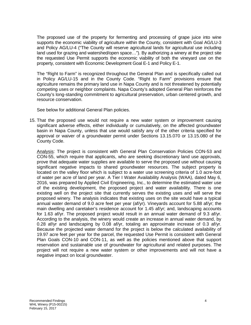The proposed use of the property for fermenting and processing of grape juice into wine supports the economic viability of agriculture within the County, consistent with Goal AG/LU-3 and Policy AG/LU-4 ("The County will reserve agricultural lands for agricultural use including land used for grazing and watershed/open space…"). By authorizing a winery at the project site the requested Use Permit supports the economic viability of both the vineyard use on the property, consistent with Economic Development Goal E-1 and Policy E-1.

The "Right to Farm" is recognized throughout the General Plan and is specifically called out in Policy AG/LU-15 and in the County Code. "Right to Farm" provisions ensure that agriculture remains the primary land use in Napa County and is not threatened by potentially competing uses or neighbor complaints. Napa County's adopted General Plan reinforces the County's long-standing commitment to agricultural preservation, urban centered growth, and resource conservation.

See below for additional General Plan policies.

15. That the proposed use would not require a new water system or improvement causing significant adverse effects, either individually or cumulatively, on the affected groundwater basin in Napa County, unless that use would satisfy any of the other criteria specified for approval or waiver of a groundwater permit under Sections 13.15.070 or 13.15.080 of the County Code.

Analysis: The project is consistent with General Plan Conservation Policies CON-53 and CON-55, which require that applicants, who are seeking discretionary land use approvals, prove that adequate water supplies are available to serve the proposed use without causing significant negative impacts to shared groundwater resources. The subject property is located on the valley floor which is subject to a water use screening criteria of 1.0 acre-foot of water per acre of land per year. A Tier I Water Availability Analysis (WAA), dated May 6, 2016, was prepared by Applied Civil Engineering, Inc., to determine the estimated water use of the existing development, the proposed project and water availability. There is one existing well on the project site that currently serves the existing uses and will serve the proposed winery. The analysis indicates that existing uses on the site would have a typical annual water demand of 9.0 acre feet per year (af/yr). Vineyards account for 5.88 af/yr; the main dwelling and caretaker's residence account for 1.45 af/yr; and, landscaping accounts for 1.63 af/yr. The proposed project would result in an annual water demand of 9.3 af/yr. According to the analysis, the winery would create an increase in annual water demand, by 0.28 af/yr and landscaping by 0.08 af/yr, totaling an approximate increase of 0.3 af/yr. Because the projected water demand for the project is below the calculated availability of 19.97 acre feet per year for the parcel, the requested Use Permit is consistent with General Plan Goals CON-10 and CON-11, as well as the policies mentioned above that support reservation and sustainable use of groundwater for agricultural and related purposes. The project will not require a new water system or other improvements and will not have a negative impact on local groundwater.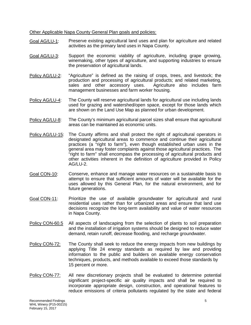Other Applicable Napa County General Plan goals and policies:

- Goal AG/LU-1: Preserve existing agricultural land uses and plan for agriculture and related activities as the primary land uses in Napa County.
- Goal AG/LU-3: Support the economic viability of agriculture, including grape growing, winemaking, other types of agriculture, and supporting industries to ensure the preservation of agricultural lands.
- Policy AG/LU-2: "Agriculture" is defined as the raising of crops, trees, and livestock; the production and processing of agricultural products; and related marketing, sales and other accessory uses. Agriculture also includes farm management businesses and farm worker housing.
- Policy AG/LU-4: The County will reserve agricultural lands for agricultural use including lands used for grazing and watershed/open space, except for those lands which are shown on the Land Use Map as planned for urban development.
- Policy AG/LU-8: The County's minimum agricultural parcel sizes shall ensure that agricultural areas can be maintained as economic units.
- Policy AG/LU-15: The County affirms and shall protect the right of agricultural operators in designated agricultural areas to commence and continue their agricultural practices (a "right to farm"), even though established urban uses in the general area may foster complaints against those agricultural practices. The "right to farm" shall encompass the processing of agricultural products and other activities inherent in the definition of agriculture provided in Policy AG/LU-2.
- Goal CON-10: Conserve, enhance and manage water resources on a sustainable basis to attempt to ensure that sufficient amounts of water will be available for the uses allowed by this General Plan, for the natural environment, and for future generations.
- Goal CON-11: Prioritize the use of available groundwater for agricultural and rural residential uses rather than for urbanized areas and ensure that land use decisions recognize the long-term availability and value of water resources in Napa County.
- Policy CON-60.5 All aspects of landscaping from the selection of plants to soil preparation and the installation of irrigation systems should be designed to reduce water demand, retain runoff, decrease flooding, and recharge groundwater.
- Policy CON-72: The County shall seek to reduce the energy impacts from new buildings by applying Title 24 energy standards as required by law and providing information to the public and builders on available energy conservation techniques, products, and methods available to exceed those standards by 15 percent or more.
- Policy CON-77: All new discretionary projects shall be evaluated to determine potential significant project-specific air quality impacts and shall be required to incorporate appropriate design, construction, and operational features to reduce emissions of criteria pollutants regulated by the state and federal